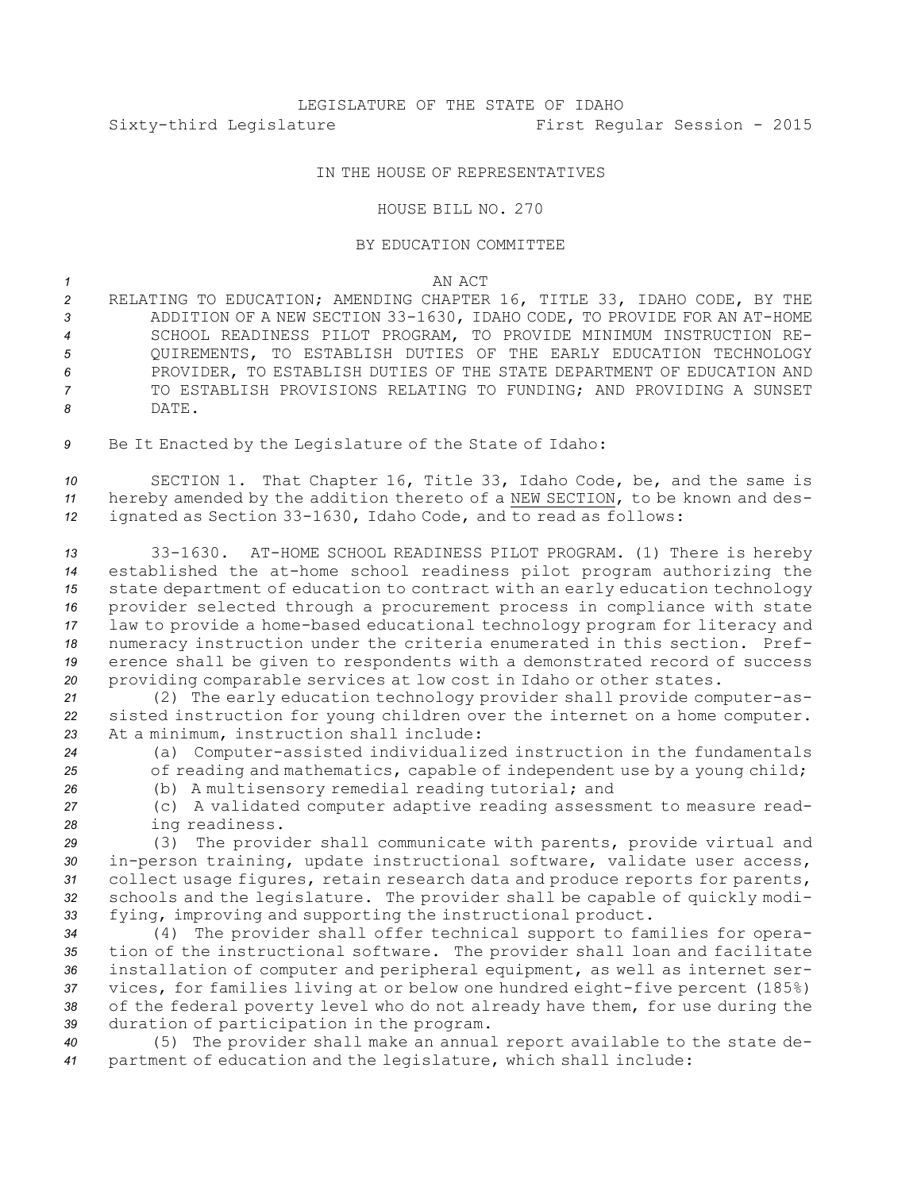## IN THE HOUSE OF REPRESENTATIVES

## HOUSE BILL NO. 270

## BY EDUCATION COMMITTEE

## *1* AN ACT

 RELATING TO EDUCATION; AMENDING CHAPTER 16, TITLE 33, IDAHO CODE, BY THE ADDITION OF A NEW SECTION 33-1630, IDAHO CODE, TO PROVIDE FOR AN AT-HOME SCHOOL READINESS PILOT PROGRAM, TO PROVIDE MINIMUM INSTRUCTION RE- QUIREMENTS, TO ESTABLISH DUTIES OF THE EARLY EDUCATION TECHNOLOGY PROVIDER, TO ESTABLISH DUTIES OF THE STATE DEPARTMENT OF EDUCATION AND TO ESTABLISH PROVISIONS RELATING TO FUNDING; AND PROVIDING A SUNSET *8* DATE.

*<sup>9</sup>* Be It Enacted by the Legislature of the State of Idaho:

*<sup>10</sup>* SECTION 1. That Chapter 16, Title 33, Idaho Code, be, and the same is *<sup>11</sup>* hereby amended by the addition thereto of <sup>a</sup> NEW SECTION, to be known and des-*<sup>12</sup>* ignated as Section 33-1630, Idaho Code, and to read as follows:

 33-1630. AT-HOME SCHOOL READINESS PILOT PROGRAM. (1) There is hereby established the at-home school readiness pilot program authorizing the state department of education to contract with an early education technology provider selected through <sup>a</sup> procurement process in compliance with state law to provide <sup>a</sup> home-based educational technology program for literacy and numeracy instruction under the criteria enumerated in this section. Pref- erence shall be given to respondents with <sup>a</sup> demonstrated record of success providing comparable services at low cost in Idaho or other states.

*<sup>21</sup>* (2) The early education technology provider shall provide computer-as-*<sup>22</sup>* sisted instruction for young children over the internet on <sup>a</sup> home computer. *<sup>23</sup>* At <sup>a</sup> minimum, instruction shall include:

*<sup>24</sup>* (a) Computer-assisted individualized instruction in the fundamentals 25 of reading and mathematics, capable of independent use by a young child;

*<sup>26</sup>* (b) <sup>A</sup> multisensory remedial reading tutorial; and

*<sup>27</sup>* (c) <sup>A</sup> validated computer adaptive reading assessment to measure read-*<sup>28</sup>* ing readiness.

 (3) The provider shall communicate with parents, provide virtual and in-person training, update instructional software, validate user access, collect usage figures, retain research data and produce reports for parents, schools and the legislature. The provider shall be capable of quickly modi-fying, improving and supporting the instructional product.

 (4) The provider shall offer technical support to families for opera- tion of the instructional software. The provider shall loan and facilitate installation of computer and peripheral equipment, as well as internet ser- vices, for families living at or below one hundred eight-five percent (185%) of the federal poverty level who do not already have them, for use during the duration of participation in the program.

*<sup>40</sup>* (5) The provider shall make an annual report available to the state de-*<sup>41</sup>* partment of education and the legislature, which shall include: